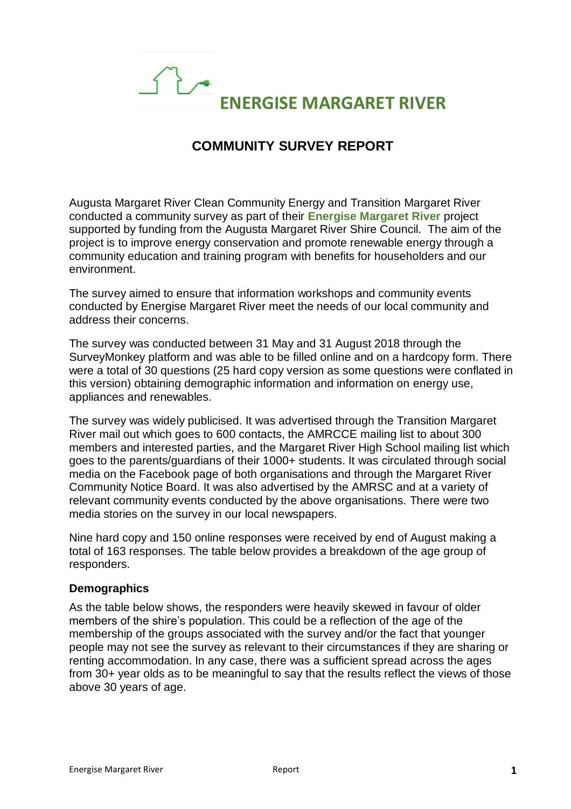# $\bigcap$ **ENERGISE MARGARET RIVER**

## **COMMUNITY SURVEY REPORT**

Augusta Margaret River Clean Community Energy and Transition Margaret River conducted a community survey as part of their **Energise Margaret River** project supported by funding from the Augusta Margaret River Shire Council. The aim of the project is to improve energy conservation and promote renewable energy through a community education and training program with benefits for householders and our environment.

The survey aimed to ensure that information workshops and community events conducted by Energise Margaret River meet the needs of our local community and address their concerns.

The survey was conducted between 31 May and 31 August 2018 through the SurveyMonkey platform and was able to be filled online and on a hardcopy form. There were a total of 30 questions (25 hard copy version as some questions were conflated in this version) obtaining demographic information and information on energy use, appliances and renewables.

The survey was widely publicised. It was advertised through the Transition Margaret River mail out which goes to 600 contacts, the AMRCCE mailing list to about 300 members and interested parties, and the Margaret River High School mailing list which goes to the parents/guardians of their 1000+ students. It was circulated through social media on the Facebook page of both organisations and through the Margaret River Community Notice Board. It was also advertised by the AMRSC and at a variety of relevant community events conducted by the above organisations. There were two media stories on the survey in our local newspapers.

Nine hard copy and 150 online responses were received by end of August making a total of 163 responses. The table below provides a breakdown of the age group of responders.

#### **Demographics**

As the table below shows, the responders were heavily skewed in favour of older members of the shire's population. This could be a reflection of the age of the membership of the groups associated with the survey and/or the fact that younger people may not see the survey as relevant to their circumstances if they are sharing or renting accommodation. In any case, there was a sufficient spread across the ages from 30+ year olds as to be meaningful to say that the results reflect the views of those above 30 years of age.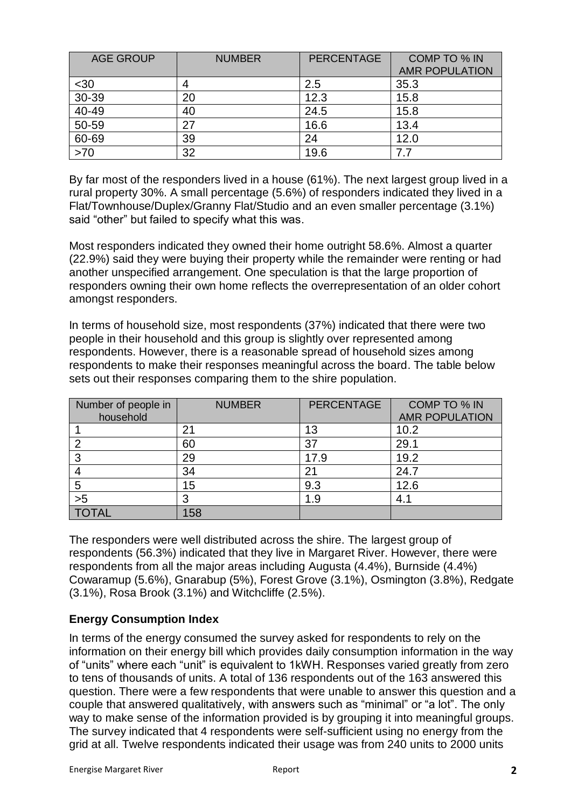| <b>AGE GROUP</b> | <b>NUMBER</b> | <b>PERCENTAGE</b> | COMP TO % IN          |
|------------------|---------------|-------------------|-----------------------|
|                  |               |                   | <b>AMR POPULATION</b> |
| $30$             |               | 2.5               | 35.3                  |
| $30 - 39$        | 20            | 12.3              | 15.8                  |
| 40-49            | 40            | 24.5              | 15.8                  |
| 50-59            | 27            | 16.6              | 13.4                  |
| 60-69            | 39            | 24                | 12.0                  |
| >70              | 32            | 19.6              |                       |

By far most of the responders lived in a house (61%). The next largest group lived in a rural property 30%. A small percentage (5.6%) of responders indicated they lived in a Flat/Townhouse/Duplex/Granny Flat/Studio and an even smaller percentage (3.1%) said "other" but failed to specify what this was.

Most responders indicated they owned their home outright 58.6%. Almost a quarter (22.9%) said they were buying their property while the remainder were renting or had another unspecified arrangement. One speculation is that the large proportion of responders owning their own home reflects the overrepresentation of an older cohort amongst responders.

In terms of household size, most respondents (37%) indicated that there were two people in their household and this group is slightly over represented among respondents. However, there is a reasonable spread of household sizes among respondents to make their responses meaningful across the board. The table below sets out their responses comparing them to the shire population.

| Number of people in<br>household | <b>NUMBER</b> | <b>PERCENTAGE</b> | COMP TO % IN<br><b>AMR POPULATION</b> |
|----------------------------------|---------------|-------------------|---------------------------------------|
|                                  | 21            | 13                | 10.2                                  |
| ◠                                | 60            | 37                | 29.1                                  |
| 3                                | 29            | 17.9              | 19.2                                  |
|                                  | 34            | 21                | 24.7                                  |
| 5                                | 15            | 9.3               | 12.6                                  |
| >5                               | ◠             | 1.9               | 4.1                                   |
|                                  | .58           |                   |                                       |

The responders were well distributed across the shire. The largest group of respondents (56.3%) indicated that they live in Margaret River. However, there were respondents from all the major areas including Augusta (4.4%), Burnside (4.4%) Cowaramup (5.6%), Gnarabup (5%), Forest Grove (3.1%), Osmington (3.8%), Redgate (3.1%), Rosa Brook (3.1%) and Witchcliffe (2.5%).

## **Energy Consumption Index**

In terms of the energy consumed the survey asked for respondents to rely on the information on their energy bill which provides daily consumption information in the way of "units" where each "unit" is equivalent to 1kWH. Responses varied greatly from zero to tens of thousands of units. A total of 136 respondents out of the 163 answered this question. There were a few respondents that were unable to answer this question and a couple that answered qualitatively, with answers such as "minimal" or "a lot". The only way to make sense of the information provided is by grouping it into meaningful groups. The survey indicated that 4 respondents were self-sufficient using no energy from the grid at all. Twelve respondents indicated their usage was from 240 units to 2000 units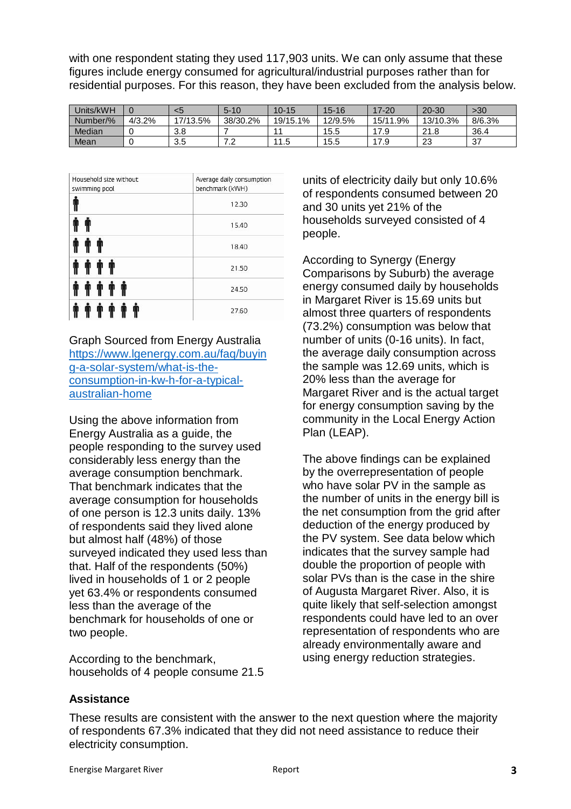with one respondent stating they used 117,903 units. We can only assume that these figures include energy consumed for agricultural/industrial purposes rather than for residential purposes. For this reason, they have been excluded from the analysis below.

| Jnits/kWH |        | <5        | $5 - 10$                 | $10 - 15$ | $15 - 16$ | 17-20         | $20 - 30$ | >30    |
|-----------|--------|-----------|--------------------------|-----------|-----------|---------------|-----------|--------|
| Number/%  | 4/3.2% | 17/13.5%  | 38/30.2%                 | 19/15.1%  | 12/9.5%   | 1.9%<br>15/11 | 13/10.3%  | 8/6.3% |
| Median    |        | 3.8       |                          | и         | 15.5      | 17 Q          | 21.8      | 36.4   |
| Mean      |        | つに<br>ວ.ວ | $\overline{\phantom{a}}$ | 11<br>1.5 | 15.5      | 7 Q           | 23        | -37    |

| Household size without<br>swimming pool | Average daily consumption<br>benchmark (kWH) |  |  |
|-----------------------------------------|----------------------------------------------|--|--|
| Ť                                       | 12.30                                        |  |  |
|                                         | 15.40                                        |  |  |
|                                         | 18.40                                        |  |  |
|                                         | 21.50                                        |  |  |
|                                         | 24.50                                        |  |  |
|                                         | 27.60                                        |  |  |

Graph Sourced from Energy Australia [https://www.lgenergy.com.au/faq/buyin](https://www.lgenergy.com.au/faq/buying-a-solar-system/what-is-the-consumption-in-kw-h-for-a-typical-australian-home) [g-a-solar-system/what-is-the](https://www.lgenergy.com.au/faq/buying-a-solar-system/what-is-the-consumption-in-kw-h-for-a-typical-australian-home)[consumption-in-kw-h-for-a-typical](https://www.lgenergy.com.au/faq/buying-a-solar-system/what-is-the-consumption-in-kw-h-for-a-typical-australian-home)[australian-home](https://www.lgenergy.com.au/faq/buying-a-solar-system/what-is-the-consumption-in-kw-h-for-a-typical-australian-home)

Using the above information from Energy Australia as a guide, the people responding to the survey used considerably less energy than the average consumption benchmark. That benchmark indicates that the average consumption for households of one person is 12.3 units daily. 13% of respondents said they lived alone but almost half (48%) of those surveyed indicated they used less than that. Half of the respondents (50%) lived in households of 1 or 2 people yet 63.4% or respondents consumed less than the average of the benchmark for households of one or two people.

According to the benchmark, households of 4 people consume 21.5

units of electricity daily but only 10.6% of respondents consumed between 20 and 30 units yet 21% of the households surveyed consisted of 4 people.

According to Synergy (Energy Comparisons by Suburb) the average energy consumed daily by households in Margaret River is 15.69 units but almost three quarters of respondents (73.2%) consumption was below that number of units (0-16 units). In fact, the average daily consumption across the sample was 12.69 units, which is 20% less than the average for Margaret River and is the actual target for energy consumption saving by the community in the Local Energy Action Plan (LEAP).

The above findings can be explained by the overrepresentation of people who have solar PV in the sample as the number of units in the energy bill is the net consumption from the grid after deduction of the energy produced by the PV system. See data below which indicates that the survey sample had double the proportion of people with solar PVs than is the case in the shire of Augusta Margaret River. Also, it is quite likely that self-selection amongst respondents could have led to an over representation of respondents who are already environmentally aware and using energy reduction strategies.

## **Assistance**

These results are consistent with the answer to the next question where the majority of respondents 67.3% indicated that they did not need assistance to reduce their electricity consumption.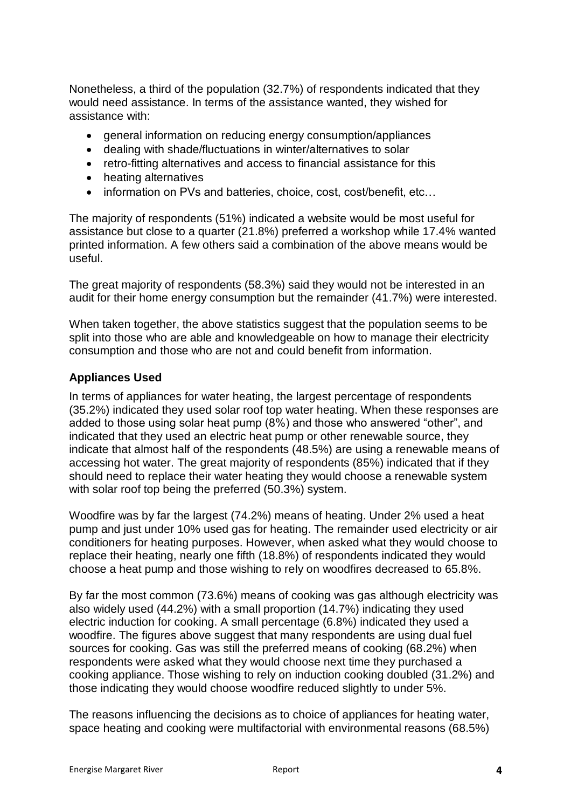Nonetheless, a third of the population (32.7%) of respondents indicated that they would need assistance. In terms of the assistance wanted, they wished for assistance with:

- general information on reducing energy consumption/appliances
- dealing with shade/fluctuations in winter/alternatives to solar
- retro-fitting alternatives and access to financial assistance for this
- heating alternatives
- information on PVs and batteries, choice, cost, cost/benefit, etc...

The majority of respondents (51%) indicated a website would be most useful for assistance but close to a quarter (21.8%) preferred a workshop while 17.4% wanted printed information. A few others said a combination of the above means would be useful.

The great majority of respondents (58.3%) said they would not be interested in an audit for their home energy consumption but the remainder (41.7%) were interested.

When taken together, the above statistics suggest that the population seems to be split into those who are able and knowledgeable on how to manage their electricity consumption and those who are not and could benefit from information.

#### **Appliances Used**

In terms of appliances for water heating, the largest percentage of respondents (35.2%) indicated they used solar roof top water heating. When these responses are added to those using solar heat pump (8%) and those who answered "other", and indicated that they used an electric heat pump or other renewable source, they indicate that almost half of the respondents (48.5%) are using a renewable means of accessing hot water. The great majority of respondents (85%) indicated that if they should need to replace their water heating they would choose a renewable system with solar roof top being the preferred (50.3%) system.

Woodfire was by far the largest (74.2%) means of heating. Under 2% used a heat pump and just under 10% used gas for heating. The remainder used electricity or air conditioners for heating purposes. However, when asked what they would choose to replace their heating, nearly one fifth (18.8%) of respondents indicated they would choose a heat pump and those wishing to rely on woodfires decreased to 65.8%.

By far the most common (73.6%) means of cooking was gas although electricity was also widely used (44.2%) with a small proportion (14.7%) indicating they used electric induction for cooking. A small percentage (6.8%) indicated they used a woodfire. The figures above suggest that many respondents are using dual fuel sources for cooking. Gas was still the preferred means of cooking (68.2%) when respondents were asked what they would choose next time they purchased a cooking appliance. Those wishing to rely on induction cooking doubled (31.2%) and those indicating they would choose woodfire reduced slightly to under 5%.

The reasons influencing the decisions as to choice of appliances for heating water, space heating and cooking were multifactorial with environmental reasons (68.5%)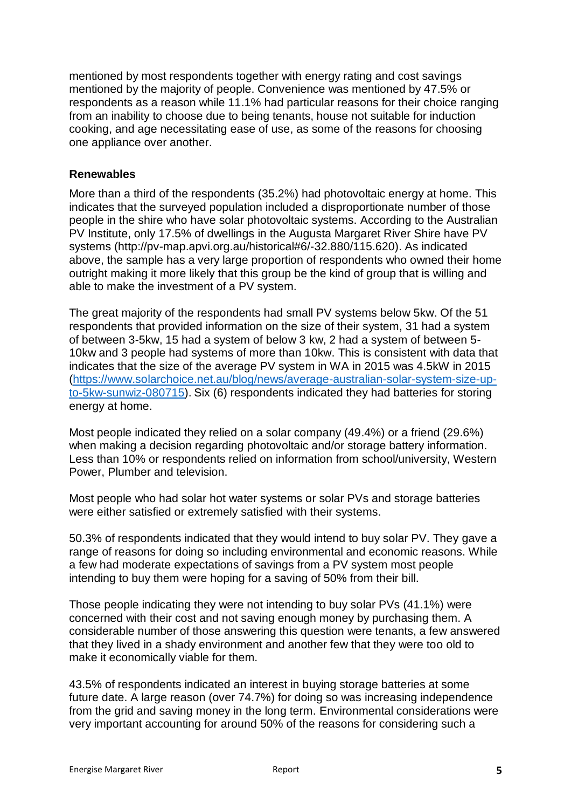mentioned by most respondents together with energy rating and cost savings mentioned by the majority of people. Convenience was mentioned by 47.5% or respondents as a reason while 11.1% had particular reasons for their choice ranging from an inability to choose due to being tenants, house not suitable for induction cooking, and age necessitating ease of use, as some of the reasons for choosing one appliance over another.

#### **Renewables**

More than a third of the respondents (35.2%) had photovoltaic energy at home. This indicates that the surveyed population included a disproportionate number of those people in the shire who have solar photovoltaic systems. According to the Australian PV Institute, only 17.5% of dwellings in the Augusta Margaret River Shire have PV systems (http://pv-map.apvi.org.au/historical#6/-32.880/115.620). As indicated above, the sample has a very large proportion of respondents who owned their home outright making it more likely that this group be the kind of group that is willing and able to make the investment of a PV system.

The great majority of the respondents had small PV systems below 5kw. Of the 51 respondents that provided information on the size of their system, 31 had a system of between 3-5kw, 15 had a system of below 3 kw, 2 had a system of between 5- 10kw and 3 people had systems of more than 10kw. This is consistent with data that indicates that the size of the average PV system in WA in 2015 was 4.5kW in 2015 [\(https://www.solarchoice.net.au/blog/news/average-australian-solar-system-size-up](https://www.solarchoice.net.au/blog/news/average-australian-solar-system-size-up-to-5kw-sunwiz-080715)[to-5kw-sunwiz-080715\)](https://www.solarchoice.net.au/blog/news/average-australian-solar-system-size-up-to-5kw-sunwiz-080715). Six (6) respondents indicated they had batteries for storing energy at home.

Most people indicated they relied on a solar company (49.4%) or a friend (29.6%) when making a decision regarding photovoltaic and/or storage battery information. Less than 10% or respondents relied on information from school/university, Western Power, Plumber and television.

Most people who had solar hot water systems or solar PVs and storage batteries were either satisfied or extremely satisfied with their systems.

50.3% of respondents indicated that they would intend to buy solar PV. They gave a range of reasons for doing so including environmental and economic reasons. While a few had moderate expectations of savings from a PV system most people intending to buy them were hoping for a saving of 50% from their bill.

Those people indicating they were not intending to buy solar PVs (41.1%) were concerned with their cost and not saving enough money by purchasing them. A considerable number of those answering this question were tenants, a few answered that they lived in a shady environment and another few that they were too old to make it economically viable for them.

43.5% of respondents indicated an interest in buying storage batteries at some future date. A large reason (over 74.7%) for doing so was increasing independence from the grid and saving money in the long term. Environmental considerations were very important accounting for around 50% of the reasons for considering such a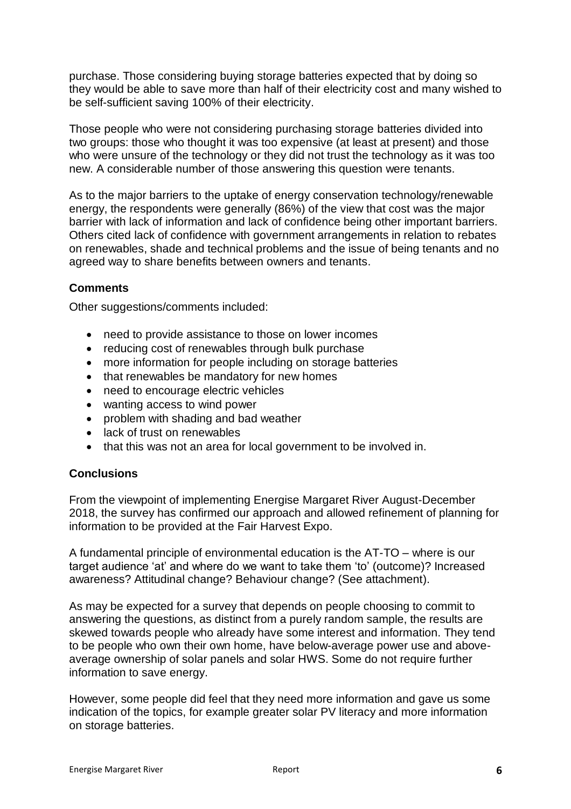purchase. Those considering buying storage batteries expected that by doing so they would be able to save more than half of their electricity cost and many wished to be self-sufficient saving 100% of their electricity.

Those people who were not considering purchasing storage batteries divided into two groups: those who thought it was too expensive (at least at present) and those who were unsure of the technology or they did not trust the technology as it was too new. A considerable number of those answering this question were tenants.

As to the major barriers to the uptake of energy conservation technology/renewable energy, the respondents were generally (86%) of the view that cost was the major barrier with lack of information and lack of confidence being other important barriers. Others cited lack of confidence with government arrangements in relation to rebates on renewables, shade and technical problems and the issue of being tenants and no agreed way to share benefits between owners and tenants.

### **Comments**

Other suggestions/comments included:

- need to provide assistance to those on lower incomes
- reducing cost of renewables through bulk purchase
- more information for people including on storage batteries
- that renewables be mandatory for new homes
- need to encourage electric vehicles
- wanting access to wind power
- problem with shading and bad weather
- lack of trust on renewables
- that this was not an area for local government to be involved in.

#### **Conclusions**

From the viewpoint of implementing Energise Margaret River August-December 2018, the survey has confirmed our approach and allowed refinement of planning for information to be provided at the Fair Harvest Expo.

A fundamental principle of environmental education is the AT-TO – where is our target audience 'at' and where do we want to take them 'to' (outcome)? Increased awareness? Attitudinal change? Behaviour change? (See attachment).

As may be expected for a survey that depends on people choosing to commit to answering the questions, as distinct from a purely random sample, the results are skewed towards people who already have some interest and information. They tend to be people who own their own home, have below-average power use and aboveaverage ownership of solar panels and solar HWS. Some do not require further information to save energy.

However, some people did feel that they need more information and gave us some indication of the topics, for example greater solar PV literacy and more information on storage batteries.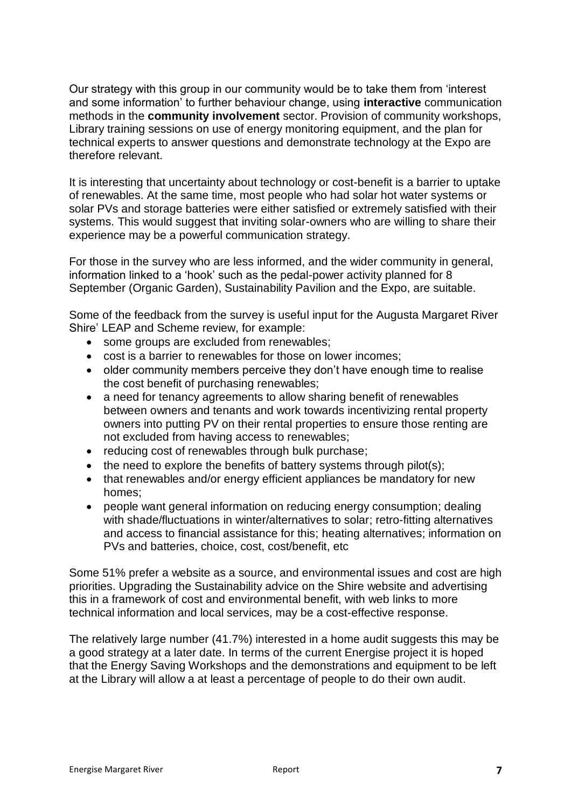Our strategy with this group in our community would be to take them from 'interest and some information' to further behaviour change, using **interactive** communication methods in the **community involvement** sector. Provision of community workshops, Library training sessions on use of energy monitoring equipment, and the plan for technical experts to answer questions and demonstrate technology at the Expo are therefore relevant.

It is interesting that uncertainty about technology or cost-benefit is a barrier to uptake of renewables. At the same time, most people who had solar hot water systems or solar PVs and storage batteries were either satisfied or extremely satisfied with their systems. This would suggest that inviting solar-owners who are willing to share their experience may be a powerful communication strategy.

For those in the survey who are less informed, and the wider community in general, information linked to a 'hook' such as the pedal-power activity planned for 8 September (Organic Garden), Sustainability Pavilion and the Expo, are suitable.

Some of the feedback from the survey is useful input for the Augusta Margaret River Shire' LEAP and Scheme review, for example:

- some groups are excluded from renewables:
- cost is a barrier to renewables for those on lower incomes;
- older community members perceive they don't have enough time to realise the cost benefit of purchasing renewables;
- a need for tenancy agreements to allow sharing benefit of renewables between owners and tenants and work towards incentivizing rental property owners into putting PV on their rental properties to ensure those renting are not excluded from having access to renewables;
- reducing cost of renewables through bulk purchase;
- $\bullet$  the need to explore the benefits of battery systems through pilot(s);
- that renewables and/or energy efficient appliances be mandatory for new homes;
- people want general information on reducing energy consumption; dealing with shade/fluctuations in winter/alternatives to solar; retro-fitting alternatives and access to financial assistance for this; heating alternatives; information on PVs and batteries, choice, cost, cost/benefit, etc

Some 51% prefer a website as a source, and environmental issues and cost are high priorities. Upgrading the Sustainability advice on the Shire website and advertising this in a framework of cost and environmental benefit, with web links to more technical information and local services, may be a cost-effective response.

The relatively large number (41.7%) interested in a home audit suggests this may be a good strategy at a later date. In terms of the current Energise project it is hoped that the Energy Saving Workshops and the demonstrations and equipment to be left at the Library will allow a at least a percentage of people to do their own audit.